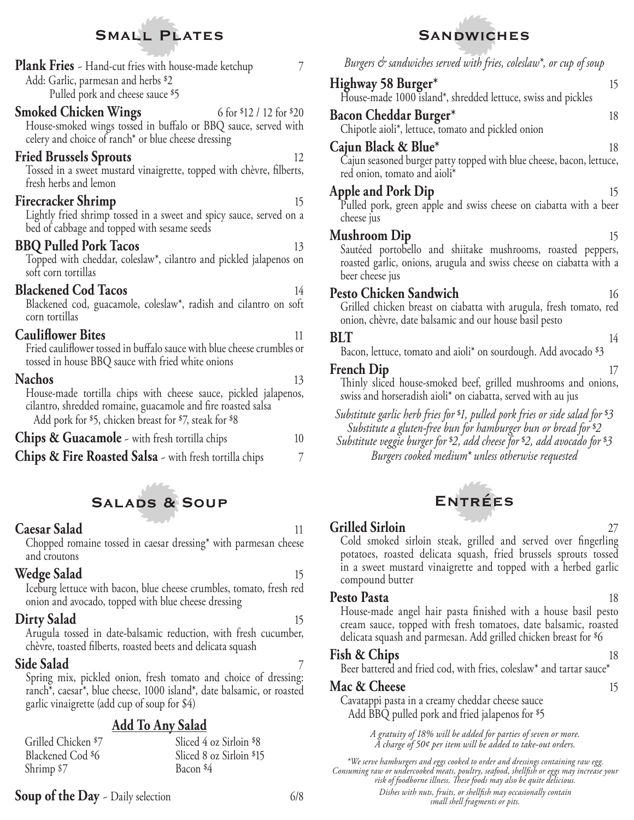## **Small Plates**

**Plank Fries** - Hand-cut fries with house-made ketchup 7 Add: Garlic, parmesan and herbs \$2 Pulled pork and cheese sauce \$5

#### **Smoked Chicken Wings** 6 for \$12 / 12 for \$20

House-smoked wings tossed in buffalo or BBQ sauce, served with celery and choice of ranch\* or blue cheese dressing

#### **Fried Brussels Sprouts** 12

Tossed in a sweet mustard vinaigrette, topped with chèvre, filberts, fresh herbs and lemon

#### **Firecracker Shrimp** 15

Lightly fried shrimp tossed in a sweet and spicy sauce, served on a bed of cabbage and topped with sesame seeds

#### **BBQ Pulled Pork Tacos** 13

Topped with cheddar, coleslaw\*, cilantro and pickled jalapenos on soft corn tortillas

#### **Blackened Cod Tacos** 14

Blackened cod, guacamole, coleslaw\*, radish and cilantro on soft corn tortillas

#### **Cauliflower Bites** 11

Fried cauliflower tossed in buffalo sauce with blue cheese crumbles or tossed in house BBQ sauce with fried white onions

#### Nachos 13

House-made tortilla chips with cheese sauce, pickled jalapenos, cilantro, shredded romaine, guacamole and fire roasted salsa Add pork for \$5, chicken breast for \$7, steak for \$8

| <b>Chips &amp; Guacamole</b> $\sim$ with fresh tortilla chips     |  |
|-------------------------------------------------------------------|--|
| <b>Chips &amp; Fire Roasted Salsa</b> - with fresh tortilla chips |  |

### **Salads & Soup**

#### **Caesar Salad** 11

Chopped romaine tossed in caesar dressing\* with parmesan cheese and croutons

#### **Wedge Salad** 15

 Iceburg lettuce with bacon, blue cheese crumbles, tomato, fresh red onion and avocado, topped with blue cheese dressing

#### **Dirty Salad** 15

Arugula tossed in date-balsamic reduction, with fresh cucumber, chèvre, toasted filberts, roasted beets and delicata squash

#### **Side Salad** 7

Spring mix, pickled onion, fresh tomato and choice of dressing: ranch\*, caesar\*, blue cheese, 1000 island\*, date balsamic, or roasted garlic vinaigrette (add cup of soup for \$4)

#### **Add To Any Salad**

| Grilled Chicken \$7 | Sliced 4 oz Sirloin \$8  |
|---------------------|--------------------------|
| Blackened Cod \$6   | Sliced 8 oz Sirloin \$15 |
| Shrimp $$7$         | Bacon <sup>\$4</sup>     |

#### **Soup of the Day** ~ Daily selection 6/8

# **Sandwiches**

*Burgers & sandwiches served with fries, coleslaw\*, or cup of soup* **Highway 58 Burger\*** 15 House-made 1000 island\*, shredded lettuce, swiss and pickles **Bacon Cheddar Burger\*** 18 Chipotle aioli\*, lettuce, tomato and pickled onion **Cajun Black & Blue\*** 18 Cajun seasoned burger patty topped with blue cheese, bacon, lettuce, red onion, tomato and aioli\* **Apple and Pork Dip** 15 Pulled pork, green apple and swiss cheese on ciabatta with a beer cheese jus **Mushroom Dip** 15 Sautéed portobello and shiitake mushrooms, roasted peppers, roasted garlic, onions, arugula and swiss cheese on ciabatta with a beer cheese jus **Pesto Chicken Sandwich** 16 Grilled chicken breast on ciabatta with arugula, fresh tomato, red onion, chèvre, date balsamic and our house basil pesto **BLT** 14 Bacon, lettuce, tomato and aioli\* on sourdough. Add avocado \$3 **French Dip** 17 Thinly sliced house-smoked beef, grilled mushrooms and onions, swiss and horseradish aioli\* on ciabatta, served with au jus *Substitute garlic herb fries for* \$*1, pulled pork fries or side salad for* \$*3 Substitute a gluten-free bun for hamburger bun or bread for* \$*2 Substitute veggie burger for* \$*2, add cheese for* \$*2, add avocado for* \$*3 Burgers cooked medium\* unless otherwise requested*



#### **Grilled Sirloin** 27

Cold smoked sirloin steak, grilled and served over fingerling potatoes, roasted delicata squash, fried brussels sprouts tossed in a sweet mustard vinaigrette and topped with a herbed garlic compound butter

#### **Pesto Pasta**

House-made angel hair pasta finished with a house basil pesto cream sauce, topped with fresh tomatoes, date balsamic, roasted delicata squash and parmesan. Add grilled chicken breast for \$6

#### **Fish & Chips** 18

Beer battered and fried cod, with fries, coleslaw\* and tartar sauce\*

#### **Mac & Cheese** 15

Cavatappi pasta in a creamy cheddar cheese sauce Add BBQ pulled pork and fried jalapenos for \$5

> *A gratuity of 18% will be added for parties of seven or more. A charge of 50¢ per item will be added to take-out orders.*

Bacon \$4 *\*We serve hamburgers and eggs cooked to order and dressings containing raw egg. Consuming raw or undercooked meats, poultry, seafood, shell sh or eggs may increase your* 

risk of foodborne illness. These foods may also be quite delicious.

*Dishes with nuts, fruits, or shell sh may occasionally contain small shell fragments or pits.*